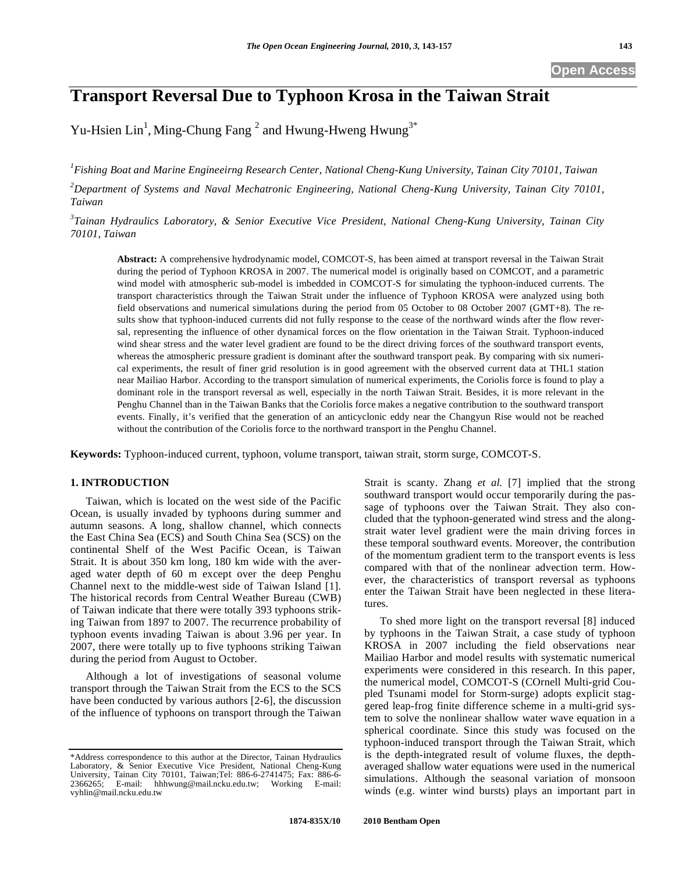# **Transport Reversal Due to Typhoon Krosa in the Taiwan Strait**

Yu-Hsien Lin<sup>1</sup>, Ming-Chung Fang<sup>2</sup> and Hwung-Hweng Hwung<sup>3\*</sup>

*1 Fishing Boat and Marine Engineeirng Research Center, National Cheng-Kung University, Tainan City 70101, Taiwan* 

*2 Department of Systems and Naval Mechatronic Engineering, National Cheng-Kung University, Tainan City 70101, Taiwan* 

*3 Tainan Hydraulics Laboratory, & Senior Executive Vice President, National Cheng-Kung University, Tainan City 70101, Taiwan* 

**Abstract:** A comprehensive hydrodynamic model, COMCOT-S, has been aimed at transport reversal in the Taiwan Strait during the period of Typhoon KROSA in 2007. The numerical model is originally based on COMCOT, and a parametric wind model with atmospheric sub-model is imbedded in COMCOT-S for simulating the typhoon-induced currents. The transport characteristics through the Taiwan Strait under the influence of Typhoon KROSA were analyzed using both field observations and numerical simulations during the period from 05 October to 08 October 2007 (GMT+8). The results show that typhoon-induced currents did not fully response to the cease of the northward winds after the flow reversal, representing the influence of other dynamical forces on the flow orientation in the Taiwan Strait. Typhoon-induced wind shear stress and the water level gradient are found to be the direct driving forces of the southward transport events, whereas the atmospheric pressure gradient is dominant after the southward transport peak. By comparing with six numerical experiments, the result of finer grid resolution is in good agreement with the observed current data at THL1 station near Mailiao Harbor. According to the transport simulation of numerical experiments, the Coriolis force is found to play a dominant role in the transport reversal as well, especially in the north Taiwan Strait. Besides, it is more relevant in the Penghu Channel than in the Taiwan Banks that the Coriolis force makes a negative contribution to the southward transport events. Finally, it's verified that the generation of an anticyclonic eddy near the Changyun Rise would not be reached without the contribution of the Coriolis force to the northward transport in the Penghu Channel.

**Keywords:** Typhoon-induced current, typhoon, volume transport, taiwan strait, storm surge, COMCOT-S.

# **1. INTRODUCTION**

Taiwan, which is located on the west side of the Pacific Ocean, is usually invaded by typhoons during summer and autumn seasons. A long, shallow channel, which connects the East China Sea (ECS) and South China Sea (SCS) on the continental Shelf of the West Pacific Ocean, is Taiwan Strait. It is about 350 km long, 180 km wide with the averaged water depth of 60 m except over the deep Penghu Channel next to the middle-west side of Taiwan Island [1]. The historical records from Central Weather Bureau (CWB) of Taiwan indicate that there were totally 393 typhoons striking Taiwan from 1897 to 2007. The recurrence probability of typhoon events invading Taiwan is about 3.96 per year. In 2007, there were totally up to five typhoons striking Taiwan during the period from August to October.

Although a lot of investigations of seasonal volume transport through the Taiwan Strait from the ECS to the SCS have been conducted by various authors [2-6], the discussion of the influence of typhoons on transport through the Taiwan Strait is scanty. Zhang *et al.* [7] implied that the strong southward transport would occur temporarily during the passage of typhoons over the Taiwan Strait. They also concluded that the typhoon-generated wind stress and the alongstrait water level gradient were the main driving forces in these temporal southward events. Moreover, the contribution of the momentum gradient term to the transport events is less compared with that of the nonlinear advection term. However, the characteristics of transport reversal as typhoons enter the Taiwan Strait have been neglected in these literatures.

To shed more light on the transport reversal [8] induced by typhoons in the Taiwan Strait, a case study of typhoon KROSA in 2007 including the field observations near Mailiao Harbor and model results with systematic numerical experiments were considered in this research. In this paper, the numerical model, COMCOT-S (COrnell Multi-grid Coupled Tsunami model for Storm-surge) adopts explicit staggered leap-frog finite difference scheme in a multi-grid system to solve the nonlinear shallow water wave equation in a spherical coordinate. Since this study was focused on the typhoon-induced transport through the Taiwan Strait, which is the depth-integrated result of volume fluxes, the depthaveraged shallow water equations were used in the numerical simulations. Although the seasonal variation of monsoon winds (e.g. winter wind bursts) plays an important part in

<sup>\*</sup>Address correspondence to this author at the Director, Tainan Hydraulics Laboratory, & Senior Executive Vice President, National Cheng-Kung University, Tainan City 70101, Taiwan;Tel: 886-6-2741475; Fax: 886-6- 2366265; E-mail: hhhwung@mail.ncku.edu.tw; Working E-mail: vyhlin@mail.ncku.edu.tw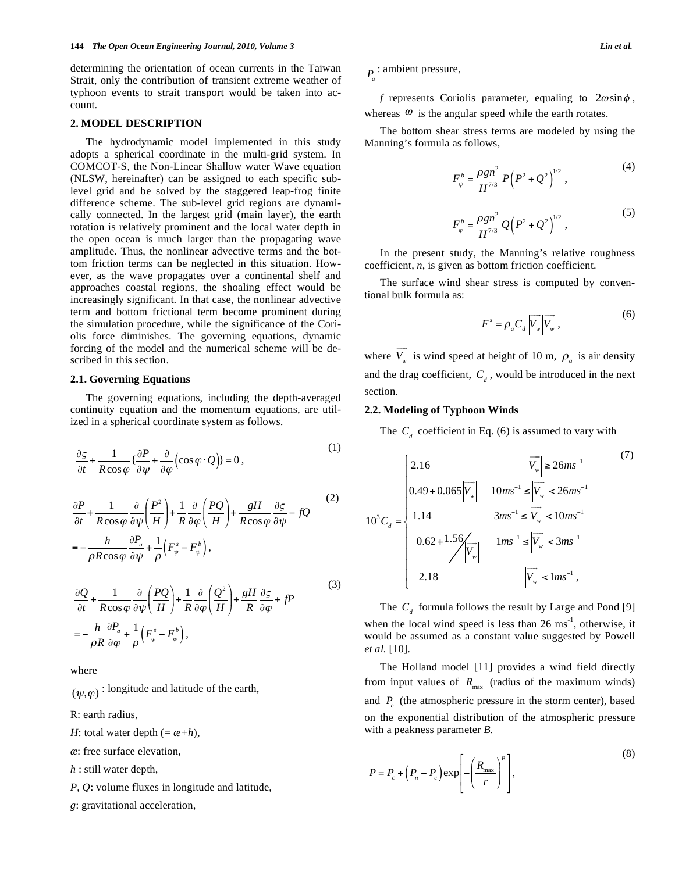determining the orientation of ocean currents in the Taiwan Strait, only the contribution of transient extreme weather of typhoon events to strait transport would be taken into account.

#### **2. MODEL DESCRIPTION**

The hydrodynamic model implemented in this study adopts a spherical coordinate in the multi-grid system. In COMCOT-S, the Non-Linear Shallow water Wave equation (NLSW, hereinafter) can be assigned to each specific sublevel grid and be solved by the staggered leap-frog finite difference scheme. The sub-level grid regions are dynamically connected. In the largest grid (main layer), the earth rotation is relatively prominent and the local water depth in the open ocean is much larger than the propagating wave amplitude. Thus, the nonlinear advective terms and the bottom friction terms can be neglected in this situation. However, as the wave propagates over a continental shelf and approaches coastal regions, the shoaling effect would be increasingly significant. In that case, the nonlinear advective term and bottom frictional term become prominent during the simulation procedure, while the significance of the Coriolis force diminishes. The governing equations, dynamic forcing of the model and the numerical scheme will be described in this section.

#### **2.1. Governing Equations**

The governing equations, including the depth-averaged continuity equation and the momentum equations, are utilized in a spherical coordinate system as follows.

$$
\frac{\partial \varsigma}{\partial t} + \frac{1}{R \cos \varphi} \left\{ \frac{\partial P}{\partial \psi} + \frac{\partial}{\partial \varphi} \left( \cos \varphi \cdot Q \right) \right\} = 0, \tag{1}
$$

$$
\frac{\partial P}{\partial t} + \frac{1}{R\cos\varphi} \frac{\partial}{\partial \psi} \left(\frac{P^2}{H}\right) + \frac{1}{R} \frac{\partial}{\partial \varphi} \left(\frac{PQ}{H}\right) + \frac{gH}{R\cos\varphi} \frac{\partial \varsigma}{\partial \psi} - fQ
$$
\n
$$
= -\frac{h}{\rho R\cos\varphi} \frac{\partial P_a}{\partial \psi} + \frac{1}{\rho} \left(F_{\psi}^s - F_{\psi}^b\right),
$$
\n(2)

$$
\frac{\partial Q}{\partial t} + \frac{1}{R\cos\varphi} \frac{\partial}{\partial \psi} \left(\frac{PQ}{H}\right) + \frac{1}{R} \frac{\partial}{\partial \varphi} \left(\frac{Q^2}{H}\right) + \frac{gH}{R} \frac{\partial \zeta}{\partial \varphi} + fP
$$
\n
$$
= -\frac{h}{\rho R} \frac{\partial P_a}{\partial \varphi} + \frac{1}{\rho} \left(F^s_{\varphi} - F^b_{\varphi}\right),
$$
\n(3)

where

 $(\psi,\varphi)$ : longitude and latitude of the earth,

R: earth radius,

*H*: total water depth  $(= \alpha + h)$ ,

*æ*: free surface elevation,

*h* : still water depth,

*P*, *Q*: volume fluxes in longitude and latitude,

*g*: gravitational acceleration,

*Pa* : ambient pressure,

*f* represents Coriolis parameter, equaling to  $2\omega \sin \phi$ , whereas  $\omega$  is the angular speed while the earth rotates.

The bottom shear stress terms are modeled by using the Manning's formula as follows,

$$
F_{\psi}^{b} = \frac{\rho g n^{2}}{H^{7/3}} P\left(P^{2} + Q^{2}\right)^{1/2},
$$
 (4)

$$
F_{\varphi}^{b} = \frac{\rho g n^{2}}{H^{7/3}} Q\left(P^{2} + Q^{2}\right)^{1/2},
$$
\n(5)

In the present study, the Manning's relative roughness coefficient, *n*, is given as bottom friction coefficient.

The surface wind shear stress is computed by conventional bulk formula as:

$$
F^s = \rho_a C_d \left| \overline{V_w} \right| \overline{V_w}, \tag{6}
$$

where  $V_w$  $\overline{\phantom{a}}$ is wind speed at height of 10 m,  $\rho_a$  is air density and the drag coefficient,  $C_d$ , would be introduced in the next section.

## **2.2. Modeling of Typhoon Winds**

The  $C_{d}$  coefficient in Eq. (6) is assumed to vary with

$$
10^{3}C_{d} = \begin{cases} 2.16 & |\overline{V_{w}}| \ge 26ms^{-1} \\ 0.49 + 0.065|\overline{V_{w}}| & 10ms^{-1} \le |\overline{V_{w}}| < 26ms^{-1} \\ 1.14 & 3ms^{-1} \le |\overline{V_{w}}| < 10ms^{-1} \\ 0.62 + 1.56\sqrt{\overline{V_{w}}} & 1ms^{-1} \le |\overline{V_{w}}| < 3ms^{-1} \\ 2.18 & |\overline{V_{w}}| < 1ms^{-1}, \end{cases}
$$
 (7)

The  $C_d$  formula follows the result by Large and Pond [9] when the local wind speed is less than  $26 \text{ ms}^{-1}$ , otherwise, it would be assumed as a constant value suggested by Powell *et al.* [10].

The Holland model [11] provides a wind field directly from input values of  $R_{\text{max}}$  (radius of the maximum winds) and  $P_c$  (the atmospheric pressure in the storm center), based on the exponential distribution of the atmospheric pressure with a peakness parameter *B*.

$$
P = P_c + \left(P_n - P_c\right) \exp\left[-\left(\frac{R_{\text{max}}}{r}\right)^{\beta}\right],\tag{8}
$$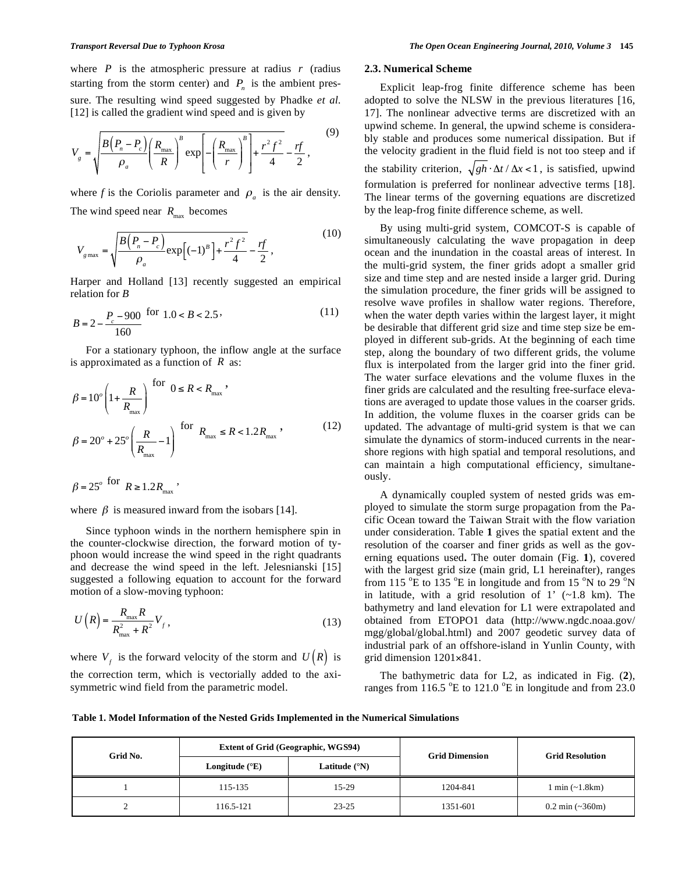where *P* is the atmospheric pressure at radius *r* (radius starting from the storm center) and  $P<sub>n</sub>$  is the ambient pressure. The resulting wind speed suggested by Phadke *et al.* [12] is called the gradient wind speed and is given by

$$
V_{g} = \sqrt{\frac{B(P_{n} - P_{c})}{\rho_{a}} \left(\frac{R_{\text{max}}}{R}\right)^{B} \exp\left[-\left(\frac{R_{\text{max}}}{r}\right)^{B}\right] + \frac{r^{2} f^{2}}{4} - \frac{rf}{2},
$$
\n(9)

where *f* is the Coriolis parameter and  $\rho_a$  is the air density. The wind speed near  $R_{\text{max}}$  becomes

$$
V_{g\text{max}} = \sqrt{\frac{B(P_n - P_c)}{\rho_a} \exp[(-1)^B + \frac{r^2 f^2}{4} - \frac{rf}{2}},\tag{10}
$$

Harper and Holland [13] recently suggested an empirical relation for *B*

$$
B = 2 - \frac{P_c - 900}{160} \text{ for } 1.0 < B < 2.5
$$
 (11)

For a stationary typhoon, the inflow angle at the surface is approximated as a function of *R* as:

$$
\beta = 10^o \left( 1 + \frac{R}{R_{\text{max}}} \right) \text{ for } 0 \le R < R_{\text{max}},
$$
\n
$$
\beta = 20^o + 25^o \left( \frac{R}{R_{\text{max}}} - 1 \right) \text{ for } R_{\text{max}} \le R < 1.2 R_{\text{max}}, \tag{12}
$$

$$
\beta = 25^o \text{ for } R \ge 1.2 R_{\text{max}} \,,
$$

where  $\beta$  is measured inward from the isobars [14].

Since typhoon winds in the northern hemisphere spin in the counter-clockwise direction, the forward motion of typhoon would increase the wind speed in the right quadrants and decrease the wind speed in the left. Jelesnianski [15] suggested a following equation to account for the forward motion of a slow-moving typhoon:

$$
U\left(R\right) = \frac{R_{\text{max}}R}{R_{\text{max}}^2 + R^2} V_f \,,\tag{13}
$$

where  $V_f$  is the forward velocity of the storm and  $U(R)$  is the correction term, which is vectorially added to the axisymmetric wind field from the parametric model.

#### **2.3. Numerical Scheme**

Explicit leap-frog finite difference scheme has been adopted to solve the NLSW in the previous literatures [16, 17]. The nonlinear advective terms are discretized with an upwind scheme. In general, the upwind scheme is considerably stable and produces some numerical dissipation. But if the velocity gradient in the fluid field is not too steep and if the stability criterion,  $\sqrt{gh \cdot \Delta t / \Delta x}$  < 1, is satisfied, upwind formulation is preferred for nonlinear advective terms [18]. The linear terms of the governing equations are discretized by the leap-frog finite difference scheme, as well.

By using multi-grid system, COMCOT-S is capable of simultaneously calculating the wave propagation in deep ocean and the inundation in the coastal areas of interest. In the multi-grid system, the finer grids adopt a smaller grid size and time step and are nested inside a larger grid. During the simulation procedure, the finer grids will be assigned to resolve wave profiles in shallow water regions. Therefore, when the water depth varies within the largest layer, it might be desirable that different grid size and time step size be employed in different sub-grids. At the beginning of each time step, along the boundary of two different grids, the volume flux is interpolated from the larger grid into the finer grid. The water surface elevations and the volume fluxes in the finer grids are calculated and the resulting free-surface elevations are averaged to update those values in the coarser grids. In addition, the volume fluxes in the coarser grids can be updated. The advantage of multi-grid system is that we can simulate the dynamics of storm-induced currents in the nearshore regions with high spatial and temporal resolutions, and can maintain a high computational efficiency, simultaneously.

A dynamically coupled system of nested grids was employed to simulate the storm surge propagation from the Pacific Ocean toward the Taiwan Strait with the flow variation under consideration. Table **1** gives the spatial extent and the resolution of the coarser and finer grids as well as the governing equations used**.** The outer domain (Fig. **1**), covered with the largest grid size (main grid, L1 hereinafter), ranges from 115  $\mathrm{^oE}$  to 135  $\mathrm{^oE}$  in longitude and from 15  $\mathrm{^oN}$  to 29  $\mathrm{^oN}$ in latitude, with a grid resolution of 1'  $(-1.8 \text{ km})$ . The bathymetry and land elevation for L1 were extrapolated and obtained from ETOPO1 data (http://www.ngdc.noaa.gov/ mgg/global/global.html) and 2007 geodetic survey data of industrial park of an offshore-island in Yunlin County, with grid dimension  $1201 \times 841$ .

The bathymetric data for L2, as indicated in Fig. (**2**), ranges from  $116.5$  °E to  $121.0$  °E in longitude and from 23.0

**Table 1. Model Information of the Nested Grids Implemented in the Numerical Simulations** 

| Grid No. |                         | <b>Extent of Grid (Geographic, WGS94)</b> | <b>Grid Dimension</b> | <b>Grid Resolution</b>             |  |
|----------|-------------------------|-------------------------------------------|-----------------------|------------------------------------|--|
|          | Longitude $(^{\circ}E)$ | Latitude $(^{\circ}N)$                    |                       |                                    |  |
|          | 115-135                 | $15-29$                                   | 1204-841              | $1 \text{ min } (-1.8 \text{ km})$ |  |
|          | 116.5-121               | $23 - 25$                                 | 1351-601              | $0.2 \text{ min } (-360 \text{m})$ |  |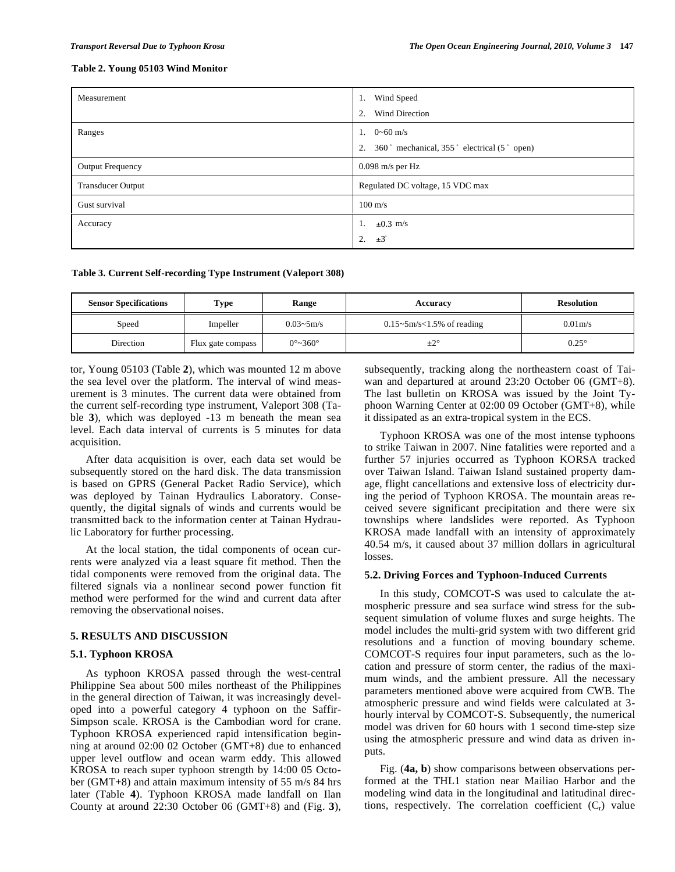## **Table 2. Young 05103 Wind Monitor**

| Measurement              | Wind Speed<br>1.                                 |
|--------------------------|--------------------------------------------------|
|                          | Wind Direction<br>2.                             |
| Ranges                   | 1. $0 \sim 60$ m/s                               |
|                          | 360° mechanical, 355° electrical (5° open)<br>2. |
| Output Frequency         | $0.098$ m/s per Hz                               |
| <b>Transducer Output</b> | Regulated DC voltage, 15 VDC max                 |
| Gust survival            | $100 \text{ m/s}$                                |
| Accuracy                 | $\pm 0.3$ m/s<br>-1.                             |
|                          | $\pm 3^\circ$<br>2.                              |

**Table 3. Current Self-recording Type Instrument (Valeport 308)** 

| <b>Sensor Specifications</b> | Type              | Range                       | Accuracy                                          | <b>Resolution</b>   |
|------------------------------|-------------------|-----------------------------|---------------------------------------------------|---------------------|
| Speed                        | Impeller          | $0.03 - 5m/s$               | $0.15 \sim 5 \, \text{m/s} \leq 1.5\%$ of reading | 0.01 <sub>m/s</sub> |
| Direction                    | Flux gate compass | $0^{\circ}$ ~360 $^{\circ}$ | $\pm 2^{\circ}$                                   | $0.25^{\circ}$      |

tor, Young 05103 (Table **2**), which was mounted 12 m above the sea level over the platform. The interval of wind measurement is 3 minutes. The current data were obtained from the current self-recording type instrument, Valeport 308 (Table **3**), which was deployed -13 m beneath the mean sea level. Each data interval of currents is 5 minutes for data acquisition.

After data acquisition is over, each data set would be subsequently stored on the hard disk. The data transmission is based on GPRS (General Packet Radio Service), which was deployed by Tainan Hydraulics Laboratory. Consequently, the digital signals of winds and currents would be transmitted back to the information center at Tainan Hydraulic Laboratory for further processing.

At the local station, the tidal components of ocean currents were analyzed via a least square fit method. Then the tidal components were removed from the original data. The filtered signals via a nonlinear second power function fit method were performed for the wind and current data after removing the observational noises.

# **5. RESULTS AND DISCUSSION**

# **5.1. Typhoon KROSA**

As typhoon KROSA passed through the west-central Philippine Sea about 500 miles northeast of the Philippines in the general direction of Taiwan, it was increasingly developed into a powerful category 4 typhoon on the Saffir-Simpson scale. KROSA is the Cambodian word for crane. Typhoon KROSA experienced rapid intensification beginning at around 02:00 02 October (GMT+8) due to enhanced upper level outflow and ocean warm eddy. This allowed KROSA to reach super typhoon strength by 14:00 05 October (GMT+8) and attain maximum intensity of 55 m/s 84 hrs later (Table **4**). Typhoon KROSA made landfall on Ilan County at around 22:30 October 06 (GMT+8) and (Fig. **3**), subsequently, tracking along the northeastern coast of Taiwan and departured at around 23:20 October 06 (GMT+8). The last bulletin on KROSA was issued by the Joint Typhoon Warning Center at 02:00 09 October (GMT+8), while it dissipated as an extra-tropical system in the ECS.

Typhoon KROSA was one of the most intense typhoons to strike Taiwan in 2007. Nine fatalities were reported and a further 57 injuries occurred as Typhoon KORSA tracked over Taiwan Island. Taiwan Island sustained property damage, flight cancellations and extensive loss of electricity during the period of Typhoon KROSA. The mountain areas received severe significant precipitation and there were six townships where landslides were reported. As Typhoon KROSA made landfall with an intensity of approximately 40.54 m/s, it caused about 37 million dollars in agricultural losses.

## **5.2. Driving Forces and Typhoon-Induced Currents**

In this study, COMCOT-S was used to calculate the atmospheric pressure and sea surface wind stress for the subsequent simulation of volume fluxes and surge heights. The model includes the multi-grid system with two different grid resolutions and a function of moving boundary scheme. COMCOT-S requires four input parameters, such as the location and pressure of storm center, the radius of the maximum winds, and the ambient pressure. All the necessary parameters mentioned above were acquired from CWB. The atmospheric pressure and wind fields were calculated at 3 hourly interval by COMCOT-S. Subsequently, the numerical model was driven for 60 hours with 1 second time-step size using the atmospheric pressure and wind data as driven inputs.

Fig. (**4a, b**) show comparisons between observations performed at the THL1 station near Mailiao Harbor and the modeling wind data in the longitudinal and latitudinal directions, respectively. The correlation coefficient  $(C<sub>r</sub>)$  value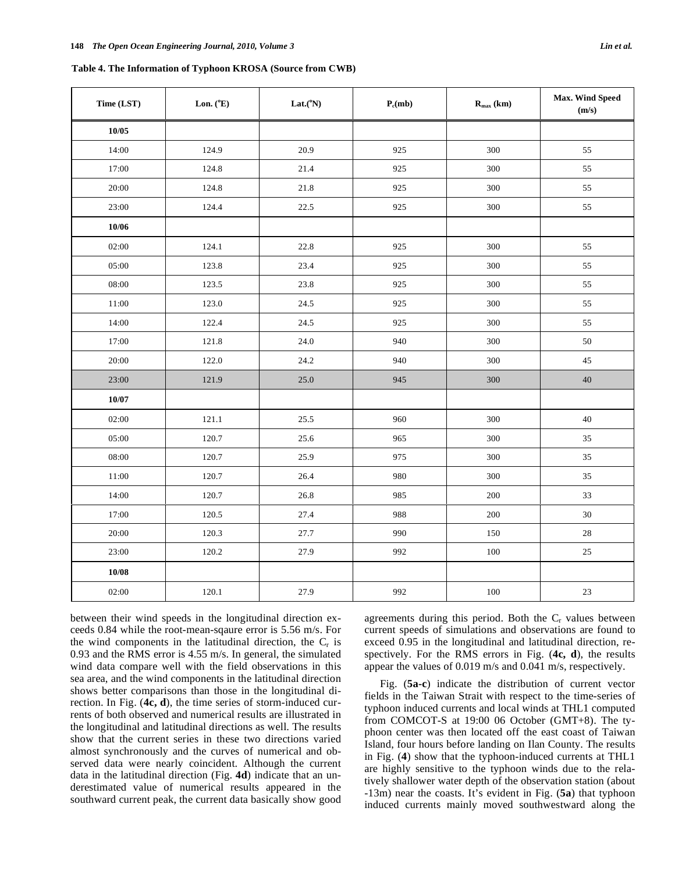| Table 4. The Information of Typhoon KROSA (Source from CWB) |  |  |  |  |  |  |  |
|-------------------------------------------------------------|--|--|--|--|--|--|--|
|-------------------------------------------------------------|--|--|--|--|--|--|--|

| Time (LST) | Lon. $(^{\circ}E)$ | Lat.(°N) | $P_c(mb)$ | $R_{max}$ (km) | <b>Max. Wind Speed</b><br>(m/s) |
|------------|--------------------|----------|-----------|----------------|---------------------------------|
| 10/05      |                    |          |           |                |                                 |
| 14:00      | 124.9              | 20.9     | 925       | 300            | 55                              |
| 17:00      | 124.8              | 21.4     | 925       | 300            | 55                              |
| 20:00      | 124.8              | 21.8     | 925       | 300            | 55                              |
| 23:00      | 124.4              | 22.5     | 925       | 300            | 55                              |
| 10/06      |                    |          |           |                |                                 |
| 02:00      | 124.1              | 22.8     | 925       | 300            | 55                              |
| 05:00      | 123.8              | 23.4     | 925       | 300            | 55                              |
| 08:00      | 123.5              | 23.8     | 925       | 300            | 55                              |
| $11:00$    | 123.0              | 24.5     | 925       | 300            | 55                              |
| 14:00      | 122.4              | 24.5     | 925       | 300            | 55                              |
| 17:00      | 121.8              | 24.0     | 940       | 300            | 50                              |
| 20:00      | 122.0              | 24.2     | 940       | 300            | 45                              |
| 23:00      | 121.9              | 25.0     | 945       | 300            | $40\,$                          |
| 10/07      |                    |          |           |                |                                 |
| 02:00      | 121.1              | 25.5     | 960       | 300            | 40                              |
| 05:00      | 120.7              | 25.6     | 965       | 300            | 35                              |
| 08:00      | 120.7              | 25.9     | 975       | 300            | 35                              |
| 11:00      | 120.7              | 26.4     | 980       | 300            | 35                              |
| 14:00      | 120.7              | 26.8     | 985       | 200            | 33                              |
| 17:00      | 120.5              | 27.4     | 988       | 200            | $30\,$                          |
| 20:00      | 120.3              | 27.7     | 990       | 150            | $28\,$                          |
| 23:00      | 120.2              | 27.9     | 992       | 100            | 25                              |
| 10/08      |                    |          |           |                |                                 |
| 02:00      | 120.1              | 27.9     | 992       | 100            | $23\,$                          |

between their wind speeds in the longitudinal direction exceeds 0.84 while the root-mean-sqaure error is 5.56 m/s. For the wind components in the latitudinal direction, the  $C_r$  is 0.93 and the RMS error is 4.55 m/s. In general, the simulated wind data compare well with the field observations in this sea area, and the wind components in the latitudinal direction shows better comparisons than those in the longitudinal direction. In Fig. (**4c, d**), the time series of storm-induced currents of both observed and numerical results are illustrated in the longitudinal and latitudinal directions as well. The results show that the current series in these two directions varied almost synchronously and the curves of numerical and observed data were nearly coincident. Although the current data in the latitudinal direction (Fig. **4d**) indicate that an underestimated value of numerical results appeared in the southward current peak, the current data basically show good

agreements during this period. Both the  $C<sub>r</sub>$  values between current speeds of simulations and observations are found to exceed 0.95 in the longitudinal and latitudinal direction, respectively. For the RMS errors in Fig. (**4c, d**), the results appear the values of 0.019 m/s and 0.041 m/s, respectively.

Fig. (**5a-c**) indicate the distribution of current vector fields in the Taiwan Strait with respect to the time-series of typhoon induced currents and local winds at THL1 computed from COMCOT-S at 19:00 06 October (GMT+8). The typhoon center was then located off the east coast of Taiwan Island, four hours before landing on Ilan County. The results in Fig. (**4**) show that the typhoon-induced currents at THL1 are highly sensitive to the typhoon winds due to the relatively shallower water depth of the observation station (about -13m) near the coasts. It's evident in Fig. (**5a**) that typhoon induced currents mainly moved southwestward along the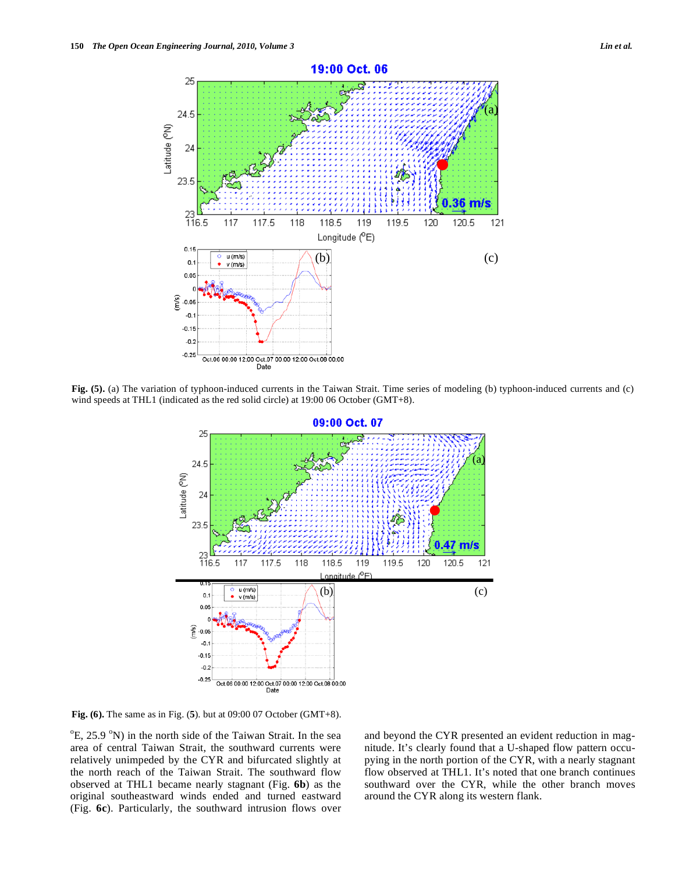

**Fig. (5).** (a) The variation of typhoon-induced currents in the Taiwan Strait. Time series of modeling (b) typhoon-induced currents and (c) wind speeds at THL1 (indicated as the red solid circle) at 19:00 06 October (GMT+8).



 $\bullet$ 

(a) (a)

**Fig. (6).** The same as in Fig. (**5**). but at 09:00 07 October (GMT+8).

<sup>o</sup>E, 25.9 <sup>o</sup>N) in the north side of the Taiwan Strait. In the sea area of central Taiwan Strait, the southward currents were relatively unimpeded by the CYR and bifurcated slightly at the north reach of the Taiwan Strait. The southward flow observed at THL1 became nearly stagnant (Fig. **6b**) as the original southeastward winds ended and turned eastward (Fig. **6c**). Particularly, the southward intrusion flows over

and beyond the CYR presented an evident reduction in magnitude. It's clearly found that a U-shaped flow pattern occupying in the north portion of the CYR, with a nearly stagnant flow observed at THL1. It's noted that one branch continues southward over the CYR, while the other branch moves around the CYR along its western flank.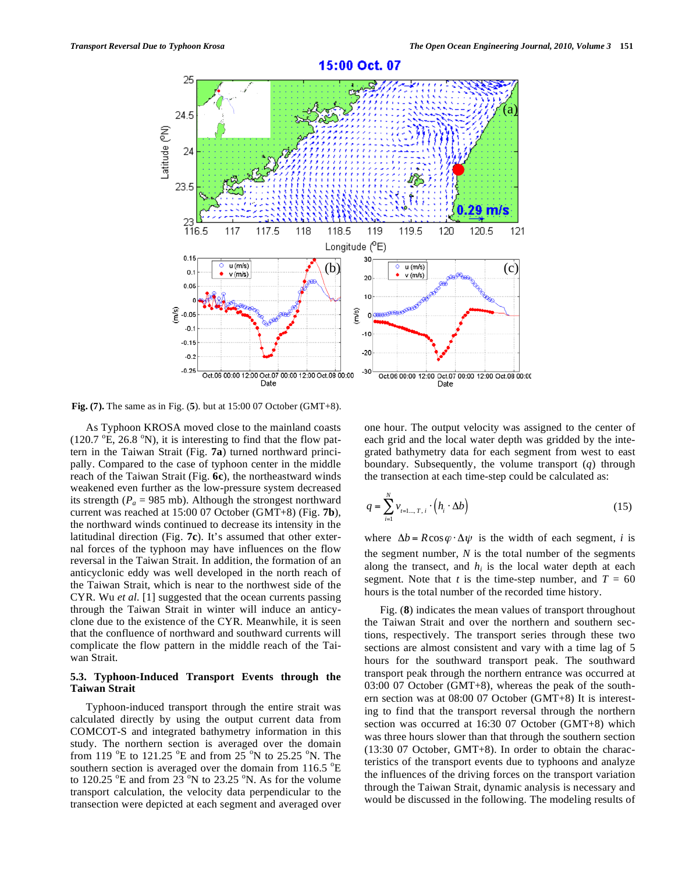

**Fig. (7).** The same as in Fig. (**5**). but at 15:00 07 October (GMT+8).

As Typhoon KROSA moved close to the mainland coasts  $(120.7 \text{ °E}, 26.8 \text{ °N})$ , it is interesting to find that the flow pattern in the Taiwan Strait (Fig. **7a**) turned northward principally. Compared to the case of typhoon center in the middle reach of the Taiwan Strait (Fig. **6c**), the northeastward winds weakened even further as the low-pressure system decreased its strength ( $P_a$  = 985 mb). Although the strongest northward current was reached at 15:00 07 October (GMT+8) (Fig. **7b**), the northward winds continued to decrease its intensity in the latitudinal direction (Fig. **7c**). It's assumed that other external forces of the typhoon may have influences on the flow reversal in the Taiwan Strait. In addition, the formation of an anticyclonic eddy was well developed in the north reach of the Taiwan Strait, which is near to the northwest side of the CYR. Wu *et al.* [1] suggested that the ocean currents passing through the Taiwan Strait in winter will induce an anticyclone due to the existence of the CYR. Meanwhile, it is seen that the confluence of northward and southward currents will complicate the flow pattern in the middle reach of the Taiwan Strait.

## **5.3. Typhoon-Induced Transport Events through the Taiwan Strait**

Typhoon-induced transport through the entire strait was calculated directly by using the output current data from COMCOT-S and integrated bathymetry information in this study. The northern section is averaged over the domain from 119  $\mathrm{^oE}$  to 121.25  $\mathrm{^oE}$  and from 25  $\mathrm{^oN}$  to 25.25  $\mathrm{^oN}$ . The southern section is averaged over the domain from  $116.5 \text{ }^{\circ}E$ to 120.25  $^{\circ}$ E and from 23 $^{\circ}$ N to 23.25  $^{\circ}$ N. As for the volume transport calculation, the velocity data perpendicular to the transection were depicted at each segment and averaged over

one hour. The output velocity was assigned to the center of each grid and the local water depth was gridded by the integrated bathymetry data for each segment from west to east boundary. Subsequently, the volume transport (*q*) through the transection at each time-step could be calculated as:

$$
q = \sum_{i=1}^{N} v_{i=1\ldots,T,i} \cdot \left(h_i \cdot \Delta b\right)
$$
 (15)

where  $\Delta b = R \cos \varphi \cdot \Delta \psi$  is the width of each segment, *i* is the segment number, *N* is the total number of the segments along the transect, and  $h_i$  is the local water depth at each segment. Note that *t* is the time-step number, and  $T = 60$ hours is the total number of the recorded time history.

Fig. (**8**) indicates the mean values of transport throughout the Taiwan Strait and over the northern and southern sections, respectively. The transport series through these two sections are almost consistent and vary with a time lag of 5 hours for the southward transport peak. The southward transport peak through the northern entrance was occurred at 03:00 07 October (GMT+8), whereas the peak of the southern section was at 08:00 07 October (GMT+8) It is interesting to find that the transport reversal through the northern section was occurred at 16:30 07 October (GMT+8) which was three hours slower than that through the southern section (13:30 07 October, GMT+8). In order to obtain the characteristics of the transport events due to typhoons and analyze the influences of the driving forces on the transport variation through the Taiwan Strait, dynamic analysis is necessary and would be discussed in the following. The modeling results of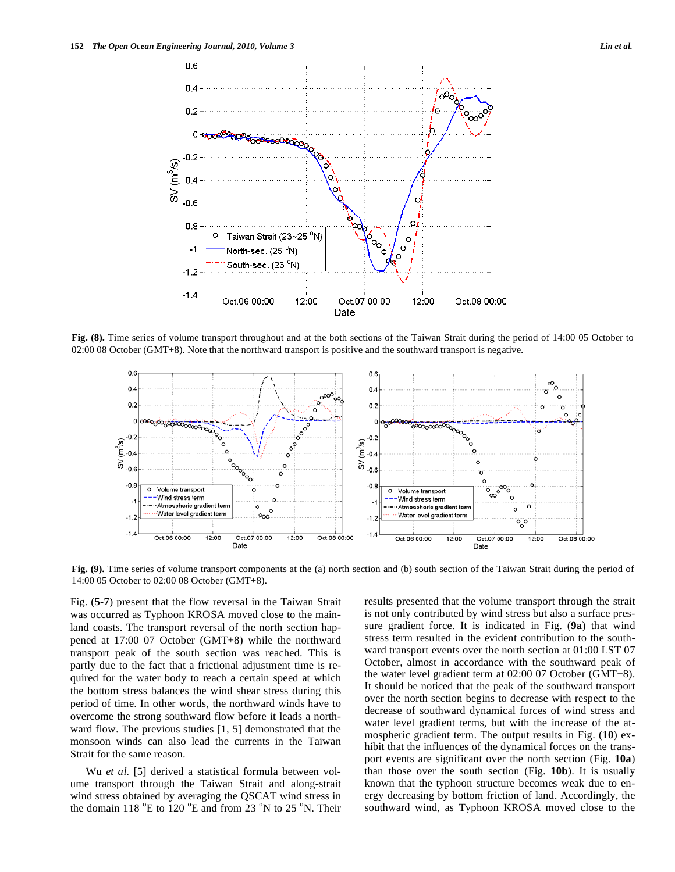

**Fig. (8).** Time series of volume transport throughout and at the both sections of the Taiwan Strait during the period of 14:00 05 October to 02:00 08 October (GMT+8). Note that the northward transport is positive and the southward transport is negative.



**Fig. (9).** Time series of volume transport components at the (a) north section and (b) south section of the Taiwan Strait during the period of 14:00 05 October to 02:00 08 October (GMT+8).

Fig. (**5-7**) present that the flow reversal in the Taiwan Strait was occurred as Typhoon KROSA moved close to the mainland coasts. The transport reversal of the north section happened at 17:00 07 October (GMT+8) while the northward transport peak of the south section was reached. This is partly due to the fact that a frictional adjustment time is required for the water body to reach a certain speed at which the bottom stress balances the wind shear stress during this period of time. In other words, the northward winds have to overcome the strong southward flow before it leads a northward flow. The previous studies [1, 5] demonstrated that the monsoon winds can also lead the currents in the Taiwan Strait for the same reason.

Wu *et al.* [5] derived a statistical formula between volume transport through the Taiwan Strait and along-strait wind stress obtained by averaging the QSCAT wind stress in the domain 118  $^{\circ}$ E to 120  $^{\circ}$ E and from 23  $^{\circ}$ N to 25  $^{\circ}$ N. Their results presented that the volume transport through the strait is not only contributed by wind stress but also a surface pressure gradient force. It is indicated in Fig. (**9a**) that wind stress term resulted in the evident contribution to the southward transport events over the north section at 01:00 LST 07 October, almost in accordance with the southward peak of the water level gradient term at 02:00 07 October (GMT+8). It should be noticed that the peak of the southward transport over the north section begins to decrease with respect to the decrease of southward dynamical forces of wind stress and water level gradient terms, but with the increase of the atmospheric gradient term. The output results in Fig. (**10**) exhibit that the influences of the dynamical forces on the transport events are significant over the north section (Fig. **10a**) than those over the south section (Fig. **10b**). It is usually known that the typhoon structure becomes weak due to energy decreasing by bottom friction of land. Accordingly, the southward wind, as Typhoon KROSA moved close to the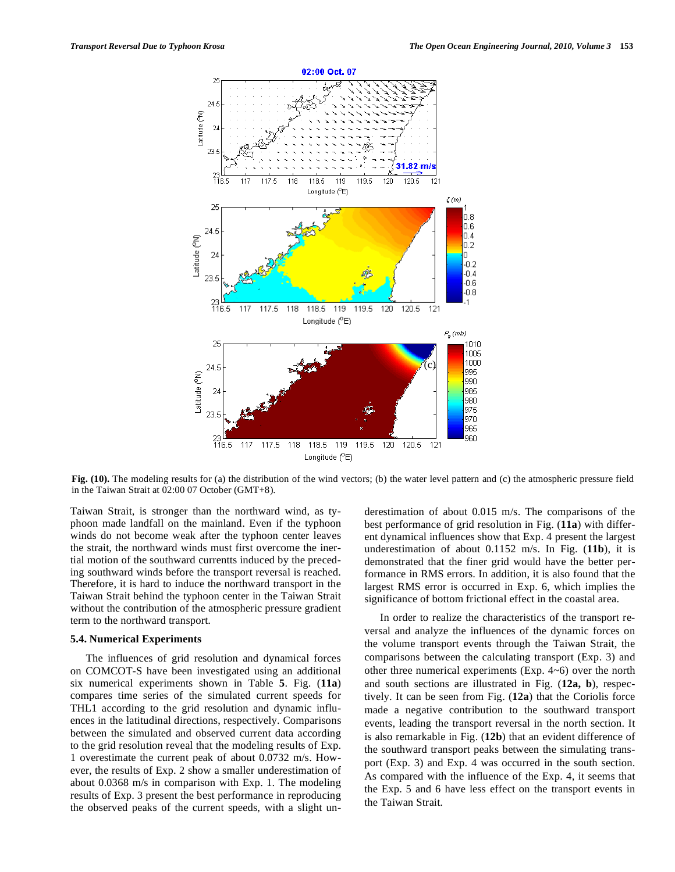

**Fig. (10).** The modeling results for (a) the distribution of the wind vectors; (b) the water level pattern and (c) the atmospheric pressure field in the Taiwan Strait at 02:00 07 October (GMT+8).

Taiwan Strait, is stronger than the northward wind, as typhoon made landfall on the mainland. Even if the typhoon winds do not become weak after the typhoon center leaves the strait, the northward winds must first overcome the inertial motion of the southward currentts induced by the preceding southward winds before the transport reversal is reached. Therefore, it is hard to induce the northward transport in the Taiwan Strait behind the typhoon center in the Taiwan Strait without the contribution of the atmospheric pressure gradient term to the northward transport.

#### **5.4. Numerical Experiments**

The influences of grid resolution and dynamical forces on COMCOT-S have been investigated using an additional six numerical experiments shown in Table **5**. Fig. (**11a**) compares time series of the simulated current speeds for THL1 according to the grid resolution and dynamic influences in the latitudinal directions, respectively. Comparisons between the simulated and observed current data according to the grid resolution reveal that the modeling results of Exp. 1 overestimate the current peak of about 0.0732 m/s. However, the results of Exp. 2 show a smaller underestimation of about 0.0368 m/s in comparison with Exp. 1. The modeling results of Exp. 3 present the best performance in reproducing the observed peaks of the current speeds, with a slight underestimation of about 0.015 m/s. The comparisons of the best performance of grid resolution in Fig. (**11a**) with different dynamical influences show that Exp. 4 present the largest underestimation of about 0.1152 m/s. In Fig. (**11b**), it is demonstrated that the finer grid would have the better performance in RMS errors. In addition, it is also found that the largest RMS error is occurred in Exp. 6, which implies the significance of bottom frictional effect in the coastal area.

In order to realize the characteristics of the transport reversal and analyze the influences of the dynamic forces on the volume transport events through the Taiwan Strait, the comparisons between the calculating transport (Exp. 3) and other three numerical experiments (Exp. 4~6) over the north and south sections are illustrated in Fig. (**12a, b**), respectively. It can be seen from Fig. (**12a**) that the Coriolis force made a negative contribution to the southward transport events, leading the transport reversal in the north section. It is also remarkable in Fig. (**12b**) that an evident difference of the southward transport peaks between the simulating transport (Exp. 3) and Exp. 4 was occurred in the south section. As compared with the influence of the Exp. 4, it seems that the Exp. 5 and 6 have less effect on the transport events in the Taiwan Strait.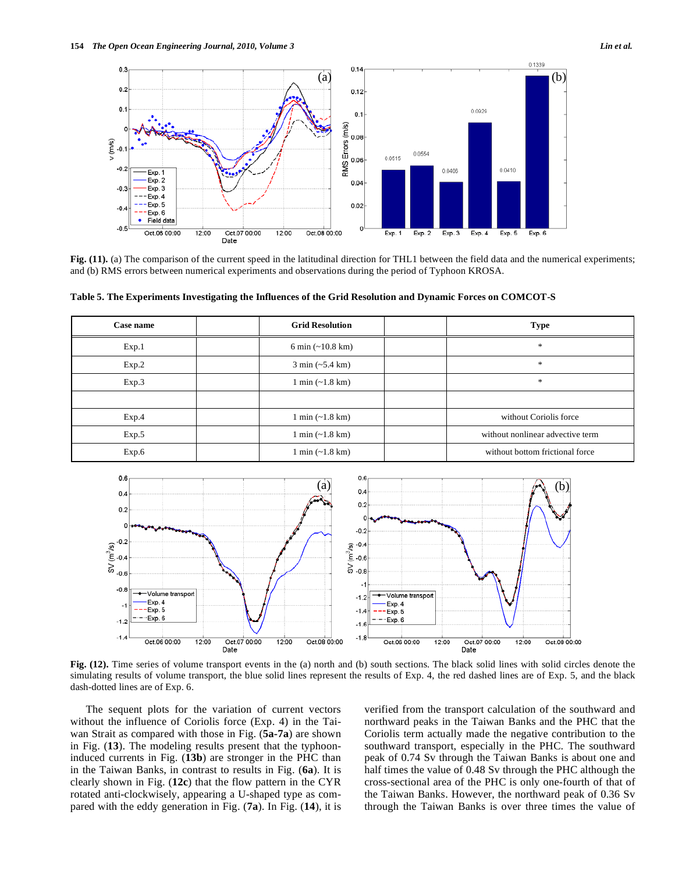

Fig. (11). (a) The comparison of the current speed in the latitudinal direction for THL1 between the field data and the numerical experiments; and (b) RMS errors between numerical experiments and observations during the period of Typhoon KROSA.

| Case name | <b>Grid Resolution</b>             | <b>Type</b>                      |
|-----------|------------------------------------|----------------------------------|
| Exp.1     | 6 min $(-10.8 \text{ km})$         | $\frac{1}{2}$                    |
| Exp.2     | $3 \text{ min } (-5.4 \text{ km})$ | $\frac{1}{2}$                    |
| Exp.3     | $1 \text{ min } (-1.8 \text{ km})$ | $\frac{1}{2}$                    |
|           |                                    |                                  |
| Exp.4     | $1 \text{ min } (-1.8 \text{ km})$ | without Coriolis force           |
| Exp.5     | $1 \text{ min } (-1.8 \text{ km})$ | without nonlinear advective term |
| Exp.6     | $1 \text{ min } (-1.8 \text{ km})$ | without bottom frictional force  |

**Table 5. The Experiments Investigating the Influences of the Grid Resolution and Dynamic Forces on COMCOT-S** 



**Fig. (12).** Time series of volume transport events in the (a) north and (b) south sections. The black solid lines with solid circles denote the simulating results of volume transport, the blue solid lines represent the results of Exp. 4, the red dashed lines are of Exp. 5, and the black dash-dotted lines are of Exp. 6.

The sequent plots for the variation of current vectors without the influence of Coriolis force (Exp. 4) in the Taiwan Strait as compared with those in Fig. (**5a-7a**) are shown in Fig. (**13**). The modeling results present that the typhooninduced currents in Fig. (**13b**) are stronger in the PHC than in the Taiwan Banks, in contrast to results in Fig. (**6a**). It is clearly shown in Fig. (**12c**) that the flow pattern in the CYR rotated anti-clockwisely, appearing a U-shaped type as compared with the eddy generation in Fig. (**7a**). In Fig. (**14**), it is verified from the transport calculation of the southward and northward peaks in the Taiwan Banks and the PHC that the Coriolis term actually made the negative contribution to the southward transport, especially in the PHC. The southward peak of 0.74 Sv through the Taiwan Banks is about one and half times the value of 0.48 Sv through the PHC although the cross-sectional area of the PHC is only one-fourth of that of the Taiwan Banks. However, the northward peak of 0.36 Sv through the Taiwan Banks is over three times the value of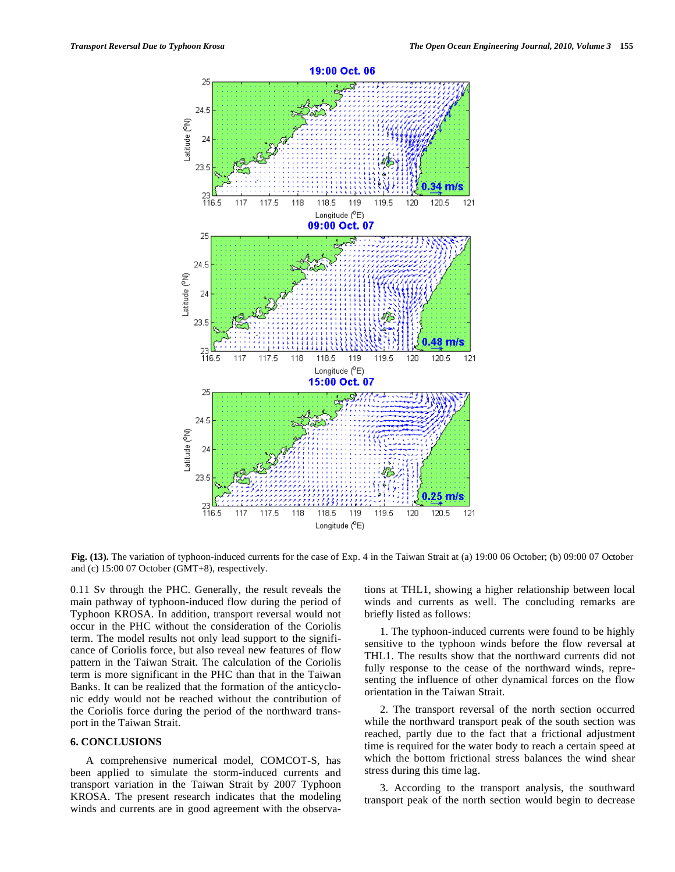

**Fig. (13).** The variation of typhoon-induced currents for the case of Exp. 4 in the Taiwan Strait at (a) 19:00 06 October; (b) 09:00 07 October and (c) 15:00 07 October (GMT+8), respectively.

0.11 Sv through the PHC. Generally, the result reveals the main pathway of typhoon-induced flow during the period of Typhoon KROSA. In addition, transport reversal would not occur in the PHC without the consideration of the Coriolis term. The model results not only lead support to the significance of Coriolis force, but also reveal new features of flow pattern in the Taiwan Strait. The calculation of the Coriolis term is more significant in the PHC than that in the Taiwan Banks. It can be realized that the formation of the anticyclonic eddy would not be reached without the contribution of the Coriolis force during the period of the northward transport in the Taiwan Strait.

# **6. CONCLUSIONS**

A comprehensive numerical model, COMCOT-S, has been applied to simulate the storm-induced currents and transport variation in the Taiwan Strait by 2007 Typhoon KROSA. The present research indicates that the modeling winds and currents are in good agreement with the observations at THL1, showing a higher relationship between local winds and currents as well. The concluding remarks are briefly listed as follows:

1. The typhoon-induced currents were found to be highly sensitive to the typhoon winds before the flow reversal at THL1. The results show that the northward currents did not fully response to the cease of the northward winds, representing the influence of other dynamical forces on the flow orientation in the Taiwan Strait.

2. The transport reversal of the north section occurred while the northward transport peak of the south section was reached, partly due to the fact that a frictional adjustment time is required for the water body to reach a certain speed at which the bottom frictional stress balances the wind shear stress during this time lag.

3. According to the transport analysis, the southward transport peak of the north section would begin to decrease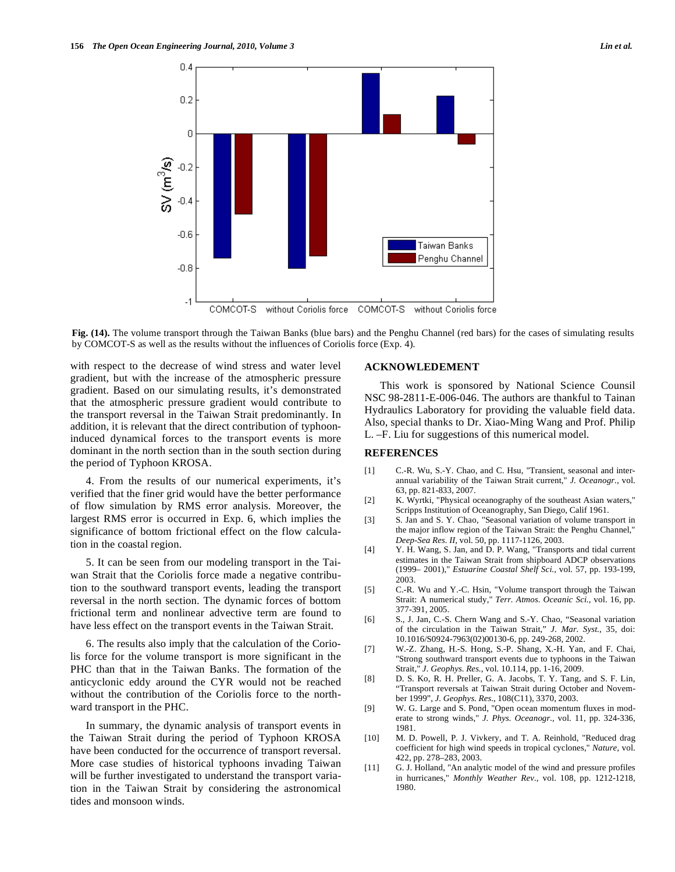

**Fig. (14).** The volume transport through the Taiwan Banks (blue bars) and the Penghu Channel (red bars) for the cases of simulating results by COMCOT-S as well as the results without the influences of Coriolis force (Exp. 4).

with respect to the decrease of wind stress and water level gradient, but with the increase of the atmospheric pressure gradient. Based on our simulating results, it's demonstrated that the atmospheric pressure gradient would contribute to the transport reversal in the Taiwan Strait predominantly. In addition, it is relevant that the direct contribution of typhooninduced dynamical forces to the transport events is more dominant in the north section than in the south section during the period of Typhoon KROSA.

4. From the results of our numerical experiments, it's verified that the finer grid would have the better performance of flow simulation by RMS error analysis. Moreover, the largest RMS error is occurred in Exp. 6, which implies the significance of bottom frictional effect on the flow calculation in the coastal region.

5. It can be seen from our modeling transport in the Taiwan Strait that the Coriolis force made a negative contribution to the southward transport events, leading the transport reversal in the north section. The dynamic forces of bottom frictional term and nonlinear advective term are found to have less effect on the transport events in the Taiwan Strait.

6. The results also imply that the calculation of the Coriolis force for the volume transport is more significant in the PHC than that in the Taiwan Banks. The formation of the anticyclonic eddy around the CYR would not be reached without the contribution of the Coriolis force to the northward transport in the PHC.

In summary, the dynamic analysis of transport events in the Taiwan Strait during the period of Typhoon KROSA have been conducted for the occurrence of transport reversal. More case studies of historical typhoons invading Taiwan will be further investigated to understand the transport variation in the Taiwan Strait by considering the astronomical tides and monsoon winds.

## **ACKNOWLEDEMENT**

This work is sponsored by National Science Counsil NSC 98-2811-E-006-046. The authors are thankful to Tainan Hydraulics Laboratory for providing the valuable field data. Also, special thanks to Dr. Xiao-Ming Wang and Prof. Philip L. –F. Liu for suggestions of this numerical model.

## **REFERENCES**

- [1] C.-R. Wu, S.-Y. Chao, and C. Hsu, "Transient, seasonal and interannual variability of the Taiwan Strait current," *J. Oceanogr.,* vol. 63, pp. 821-833, 2007.
- [2] K. Wyrtki, "Physical oceanography of the southeast Asian waters," Scripps Institution of Oceanography, San Diego, Calif 1961.
- [3] S. Jan and S. Y. Chao, "Seasonal variation of volume transport in the major inflow region of the Taiwan Strait: the Penghu Channel," *Deep-Sea Res. II,* vol. 50, pp. 1117-1126, 2003.
- [4] Y. H. Wang, S. Jan, and D. P. Wang, "Transports and tidal current estimates in the Taiwan Strait from shipboard ADCP observations (1999– 2001)," *Estuarine Coastal Shelf Sci.,* vol. 57, pp. 193-199, 2003.
- [5] C.-R. Wu and Y.-C. Hsin, "Volume transport through the Taiwan Strait: A numerical study," *Terr. Atmos. Oceanic Sci.,* vol. 16, pp. 377-391, 2005.
- [6] S., J. Jan, C.-S. Chern Wang and S.-Y. Chao, "Seasonal variation of the circulation in the Taiwan Strait," *J. Mar. Syst.*, 35, doi: 10.1016/S0924-7963(02)00130-6, pp. 249-268, 2002.
- [7] W.-Z. Zhang, H.-S. Hong, S.-P. Shang, X.-H. Yan, and F. Chai, "Strong southward transport events due to typhoons in the Taiwan Strait," *J. Geophys. Res.,* vol. 10.114, pp. 1-16, 2009.
- [8] D. S. Ko, R. H. Preller, G. A. Jacobs, T. Y. Tang, and S. F. Lin, "Transport reversals at Taiwan Strait during October and November 1999", *J. Geophys. Res.*, 108(C11), 3370, 2003.
- [9] W. G. Large and S. Pond, "Open ocean momentum fluxes in moderate to strong winds," *J. Phys. Oceanogr.,* vol. 11, pp. 324-336, 1981.
- [10] M. D. Powell, P. J. Vivkery, and T. A. Reinhold, "Reduced drag coefficient for high wind speeds in tropical cyclones," *Nature,* vol. 422, pp. 278–283, 2003.
- [11] G. J. Holland, "An analytic model of the wind and pressure profiles in hurricanes," *Monthly Weather Rev.,* vol. 108, pp. 1212-1218, 1980.